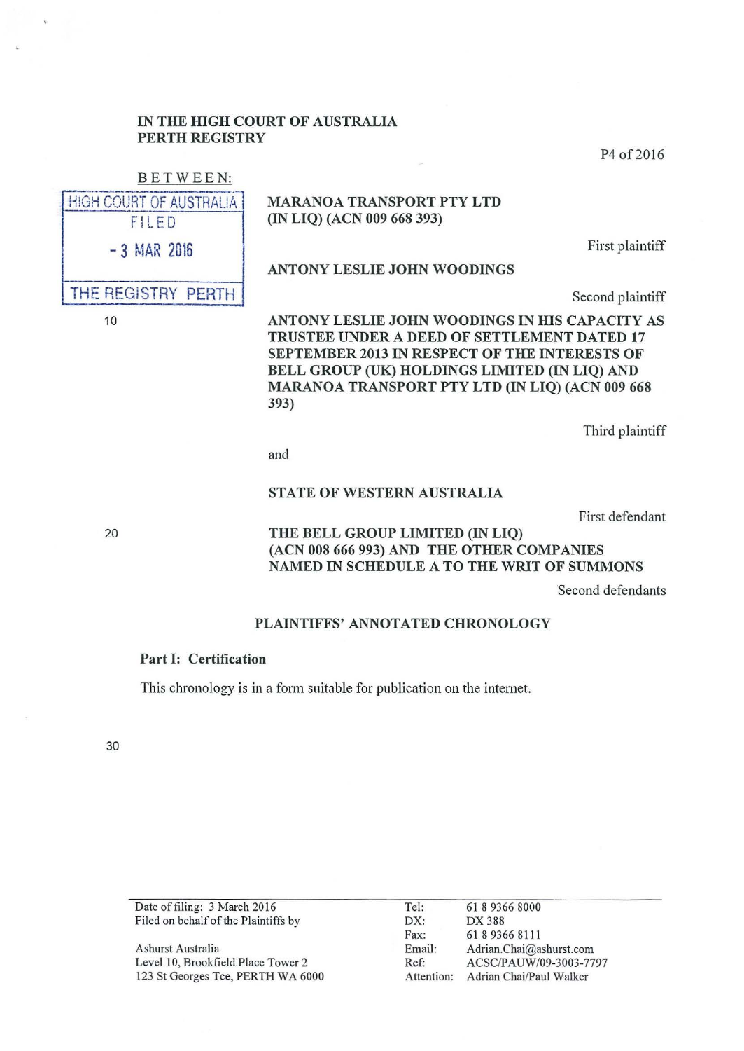### IN THE HIGH COURT OF AUSTRALIA PERTH REGISTRY

P<sub>4</sub> of 2016

# BETWEEN:

**HIGH COURT OF AUSTRALIA** FILED

# MARANOA TRANSPORT PTY LTD (IN LIQ) (ACN 009 668 393)

- 3 MAR 2016 First plaintiff

ANTONY LESLIE JOHN WOODINGS

THE REGISTRY PERTH | Second plaintiff

ANTONY LESLIE JOHN WOODINGS IN HIS CAPACITY AS TRUSTEE UNDER A DEED OF SETTLEMENT DATED 17 SEPTEMBER 2013 IN RESPECT OF THE INTERESTS OF BELL GROUP (UK) HOLDINGS LIMITED (IN LIQ) AND MARANOA TRANSPORT PTY LTD (IN LIQ) (ACN 009 668 393)

Third plaintiff

and

#### STATE OF WESTERN AUSTRALIA

First defendant

THE BELL GROUP LIMITED (IN LIQ) (ACN 008 666 993) AND THE OTHER COMPANIES NAMED IN SCHEDULE A TO THE WRIT OF SUMMONS

Second defendants

### PLAINTIFFS' ANNOTATED CHRONOLOGY

#### Part I: Certification

This chronology is in a form suitable for publication on the internet.

30

Date of filing: 3 March 2016 Filed on behalf of the Plaintiffs by Ashurst Australia Level 10, Brookfield Place Tower 2 123 St Georges Tee, PERTH WA 6000 Tel: DX: Fax: Email: Ref: Attention: Adrian Chai/Paul Walker 61 8 9366 8000 DX388 61893668111 Adrian.Chai@ashurst.com ACSC/PAUW/09-3003-7797

20

10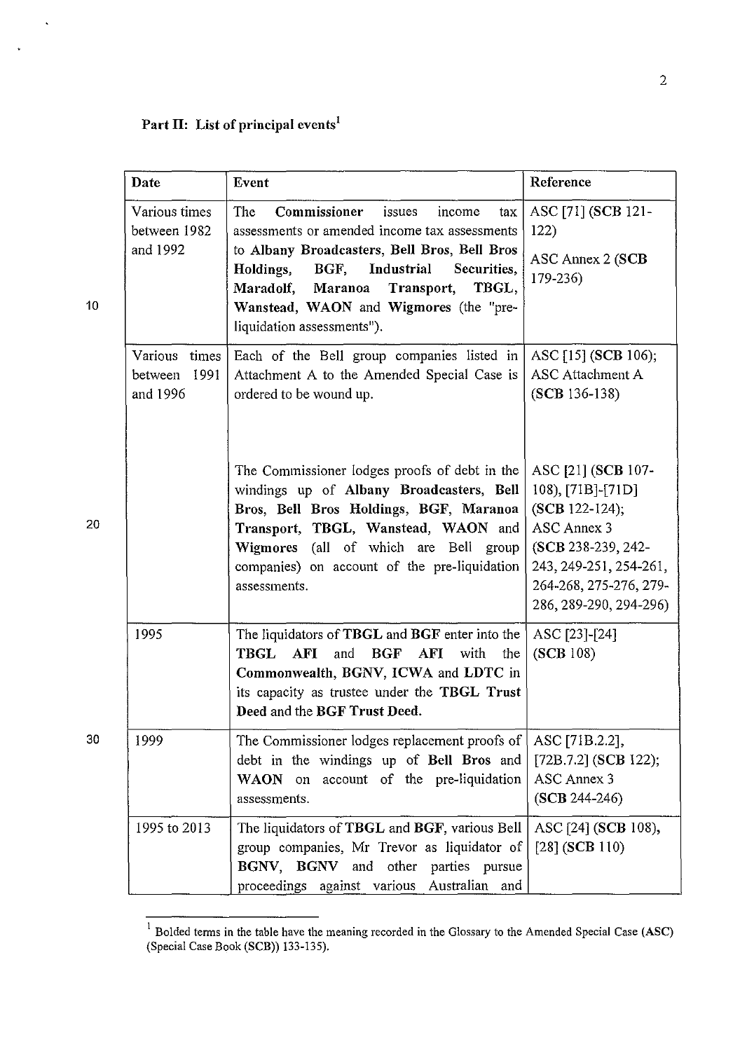$\ddot{\phantom{1}}$ 

 $\ddot{\phantom{0}}$ 

|    | Date                                         | Event                                                                                                                                                                                                                                                                                                                           | Reference                                                                                                                                                                    |
|----|----------------------------------------------|---------------------------------------------------------------------------------------------------------------------------------------------------------------------------------------------------------------------------------------------------------------------------------------------------------------------------------|------------------------------------------------------------------------------------------------------------------------------------------------------------------------------|
| 10 | Various times<br>between 1982<br>and 1992    | Commissioner<br><b>The</b><br>issues<br>income<br>tax<br>assessments or amended income tax assessments<br>to Albany Broadcasters, Bell Bros, Bell Bros<br>Industrial<br>Holdings,<br>BGF,<br>Securities,<br>TBGL,<br>Transport,<br>Maradolf,<br>Maranoa<br>Wanstead, WAON and Wigmores (the "pre-<br>liquidation assessments"). | ASC [71] (SCB 121-<br>122)<br>ASC Annex 2 (SCB<br>179-236)                                                                                                                   |
|    | Various times<br>1991<br>between<br>and 1996 | Each of the Bell group companies listed in<br>Attachment A to the Amended Special Case is<br>ordered to be wound up.                                                                                                                                                                                                            | ASC [15] (SCB 106);<br>ASC Attachment A<br>$(SCB 136-138)$                                                                                                                   |
| 20 |                                              | The Commissioner lodges proofs of debt in the<br>windings up of Albany Broadcasters, Bell<br>Bros, Bell Bros Holdings, BGF, Maranoa<br>Transport, TBGL, Wanstead, WAON and<br>Wigmores (all of which are Bell group<br>companies) on account of the pre-liquidation<br>assessments.                                             | ASC [21] (SCB 107-<br>108), [71B]-[71D]<br>(SCB 122-124);<br>ASC Annex 3<br>(SCB 238-239, 242-<br>243, 249-251, 254-261,<br>264-268, 275-276, 279-<br>286, 289-290, 294-296) |
|    | 1995                                         | The liquidators of TBGL and BGF enter into the<br><b>TBGL</b><br><b>AFI</b><br><b>BGF</b><br>and<br>AFI<br>with<br>the<br>Commonwealth, BGNV, ICWA and LDTC in<br>its capacity as trustee under the TBGL Trust<br>Deed and the BGF Trust Deed.                                                                                  | ASC [23]-[24]<br>(SCB 108)                                                                                                                                                   |
| 30 | 1999                                         | The Commissioner lodges replacement proofs of<br>debt in the windings up of Bell Bros and<br>on account of the pre-liquidation<br><b>WAON</b><br>assessments.                                                                                                                                                                   | ASC [71B.2.2],<br>[72B.7.2] (SCB 122);<br>ASC Annex 3<br>(SCB 244-246)                                                                                                       |
|    | 1995 to 2013                                 | The liquidators of TBGL and BGF, various Bell<br>group companies, Mr Trevor as liquidator of<br>BGNV, BGNV and other parties pursue<br>proceedings against various Australian and                                                                                                                                               | ASC [24] (SCB 108),<br>$[28]$ (SCB 110)                                                                                                                                      |

 $1$  Bolded terms in the table have the meaning recorded in the Glossary to the Amended Special Case (ASC) (Special Case Book (SCB)) 133-135).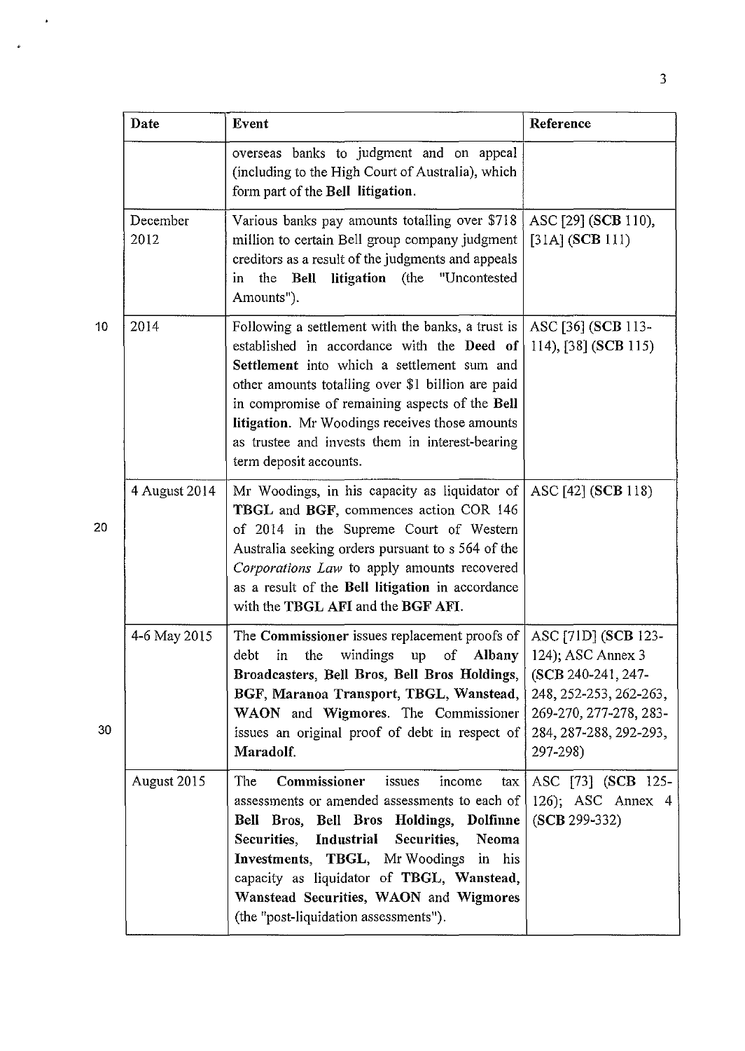|    | Date             | Event                                                                                                                                                                                                                                                                                                                                                                               | Reference                                                                                                                                                |
|----|------------------|-------------------------------------------------------------------------------------------------------------------------------------------------------------------------------------------------------------------------------------------------------------------------------------------------------------------------------------------------------------------------------------|----------------------------------------------------------------------------------------------------------------------------------------------------------|
|    |                  | overseas banks to judgment and on appeal<br>(including to the High Court of Australia), which<br>form part of the Bell litigation.                                                                                                                                                                                                                                                  |                                                                                                                                                          |
|    | December<br>2012 | Various banks pay amounts totalling over \$718<br>million to certain Bell group company judgment<br>creditors as a result of the judgments and appeals<br>litigation (the<br>"Uncontested<br>the<br>Bell<br>in<br>Amounts").                                                                                                                                                        | ASC [29] (SCB 110),<br>[31A] (SCB 111)                                                                                                                   |
| 10 | 2014             | Following a settlement with the banks, a trust is<br>established in accordance with the Deed of<br>Settlement into which a settlement sum and<br>other amounts totalling over \$1 billion are paid<br>in compromise of remaining aspects of the Bell<br>litigation. Mr Woodings receives those amounts<br>as trustee and invests them in interest-bearing<br>term deposit accounts. | ASC [36] (SCB 113-<br>114), [38] (SCB 115)                                                                                                               |
| 20 | 4 August 2014    | Mr Woodings, in his capacity as liquidator of<br>TBGL and BGF, commences action COR 146<br>of 2014 in the Supreme Court of Western<br>Australia seeking orders pursuant to s 564 of the<br>Corporations Law to apply amounts recovered<br>as a result of the Bell litigation in accordance<br>with the TBGL AFI and the BGF AFI.                                                    | ASC [42] (SCB 118)                                                                                                                                       |
| 30 | 4-6 May 2015     | The Commissioner issues replacement proofs of<br>windings<br>debt<br>in<br>the<br>of<br><b>Albany</b><br>up<br>Broadcasters, Bell Bros, Bell Bros Holdings,<br>BGF, Maranoa Transport, TBGL, Wanstead,<br>WAON and Wigmores. The Commissioner<br>issues an original proof of debt in respect of<br>Maradolf.                                                                        | ASC [71D] (SCB 123-<br>124); ASC Annex 3<br>(SCB 240-241, 247-<br>248, 252-253, 262-263,<br>269-270, 277-278, 283-<br>284, 287-288, 292-293,<br>297-298) |
|    | August 2015      | Commissioner<br>The<br>issues<br>income<br>tax<br>assessments or amended assessments to each of<br>Bell Bros, Bell Bros Holdings, Dolfinne<br>Industrial<br>Securities,<br>Securities,<br>Neoma<br>Investments, TBGL, Mr Woodings in his<br>capacity as liquidator of TBGL, Wanstead,<br>Wanstead Securities, WAON and Wigmores<br>(the "post-liquidation assessments").            | ASC [73] (SCB 125-<br>126); ASC Annex $4$<br>(SCB 299-332)                                                                                               |

 $\ddot{\phantom{1}}$